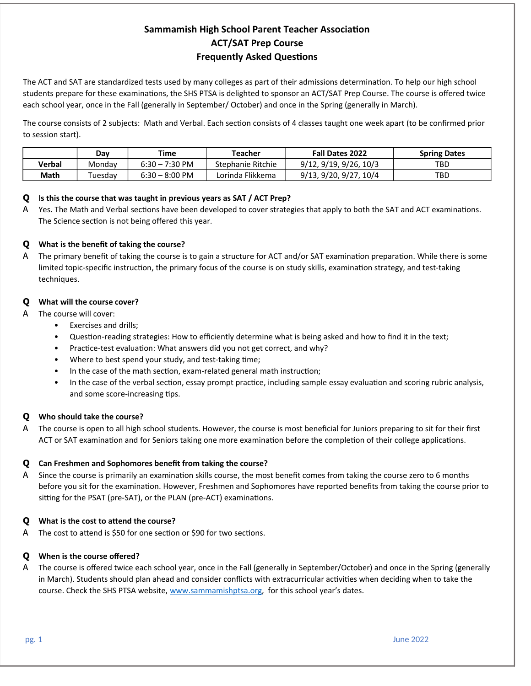# **Sammamish High School Parent Teacher Association ACT/SAT Prep Course Frequently Asked Questions**

The ACT and SAT are standardized tests used by many colleges as part of their admissions determination. To help our high school students prepare for these examinations, the SHS PTSA is delighted to sponsor an ACT/SAT Prep Course. The course is offered twice each school year, once in the Fall (generally in September/ October) and once in the Spring (generally in March).

The course consists of 2 subjects: Math and Verbal. Each section consists of 4 classes taught one week apart (to be confirmed prior to session start).

|        | Dav     | Time                     | Teacher           | <b>Fall Dates 2022</b> | <b>Spring Dates</b> |
|--------|---------|--------------------------|-------------------|------------------------|---------------------|
| Verbal | Mondav  | $6:30 - 7:30$ PM         | Stephanie Ritchie | 9/12, 9/19, 9/26, 10/3 | TBD                 |
| Math   | Tuesdav | $6:30 - 8:00 \text{ PM}$ | Lorinda Flikkema  | 9/13, 9/20, 9/27, 10/4 | TBD                 |

# **Q** Is this the course that was taught in previous years as SAT / ACT Prep?

A Yes. The Math and Verbal sections have been developed to cover strategies that apply to both the SAT and ACT examinations. The Science section is not being offered this year.

# **Q** What is the benefit of taking the course?

A The primary benefit of taking the course is to gain a structure for ACT and/or SAT examination preparation. While there is some limited topic-specific instruction, the primary focus of the course is on study skills, examination strategy, and test-taking techniques. 

# **Q** What will the course cover?

- A The course will cover:
	- Exercises and drills;
	- Question-reading strategies: How to efficiently determine what is being asked and how to find it in the text;
	- Practice-test evaluation: What answers did you not get correct, and why?
	- Where to best spend your study, and test-taking time;
	- In the case of the math section, exam-related general math instruction;
	- In the case of the verbal section, essay prompt practice, including sample essay evaluation and scoring rubric analysis, and some score-increasing tips.

# **Q** Who should take the course?

A The course is open to all high school students. However, the course is most beneficial for Juniors preparing to sit for their first ACT or SAT examination and for Seniors taking one more examination before the completion of their college applications.

# **Q Can Freshmen and Sophomores benefit from taking the course?**

A Since the course is primarily an examination skills course, the most benefit comes from taking the course zero to 6 months before you sit for the examination. However, Freshmen and Sophomores have reported benefits from taking the course prior to sitting for the PSAT (pre-SAT), or the PLAN (pre-ACT) examinations.

# **Q** What is the cost to attend the course?

A The cost to attend is \$50 for one section or \$90 for two sections.

# **Q** When is the course offered?

A The course is offered twice each school year, once in the Fall (generally in September/October) and once in the Spring (generally in March). Students should plan ahead and consider conflicts with extracurricular activities when deciding when to take the course. Check the SHS PTSA website, www.sammamishptsa.org, for this school year's dates.